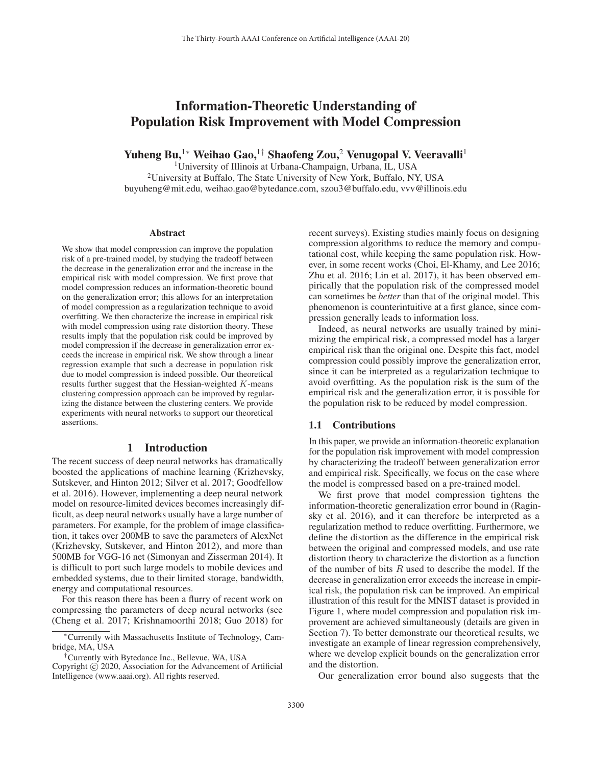# Information-Theoretic Understanding of Population Risk Improvement with Model Compression

Yuheng Bu,<sup>1</sup>\* Weihao Gao,<sup>1†</sup> Shaofeng Zou,<sup>2</sup> Venugopal V. Veeravalli<sup>1</sup>

1University of Illinois at Urbana-Champaign, Urbana, IL, USA <sup>2</sup>University at Buffalo, The State University of New York, Buffalo, NY, USA buyuheng@mit.edu, weihao.gao@bytedance.com, szou3@buffalo.edu, vvv@illinois.edu

#### Abstract

We show that model compression can improve the population risk of a pre-trained model, by studying the tradeoff between the decrease in the generalization error and the increase in the empirical risk with model compression. We first prove that model compression reduces an information-theoretic bound on the generalization error; this allows for an interpretation of model compression as a regularization technique to avoid overfitting. We then characterize the increase in empirical risk with model compression using rate distortion theory. These results imply that the population risk could be improved by model compression if the decrease in generalization error exceeds the increase in empirical risk. We show through a linear regression example that such a decrease in population risk due to model compression is indeed possible. Our theoretical results further suggest that the Hessian-weighted  $K$ -means clustering compression approach can be improved by regularizing the distance between the clustering centers. We provide experiments with neural networks to support our theoretical assertions.

## 1 Introduction

The recent success of deep neural networks has dramatically boosted the applications of machine learning (Krizhevsky, Sutskever, and Hinton 2012; Silver et al. 2017; Goodfellow et al. 2016). However, implementing a deep neural network model on resource-limited devices becomes increasingly difficult, as deep neural networks usually have a large number of parameters. For example, for the problem of image classification, it takes over 200MB to save the parameters of AlexNet (Krizhevsky, Sutskever, and Hinton 2012), and more than 500MB for VGG-16 net (Simonyan and Zisserman 2014). It is difficult to port such large models to mobile devices and embedded systems, due to their limited storage, bandwidth, energy and computational resources.

For this reason there has been a flurry of recent work on compressing the parameters of deep neural networks (see (Cheng et al. 2017; Krishnamoorthi 2018; Guo 2018) for

recent surveys). Existing studies mainly focus on designing compression algorithms to reduce the memory and computational cost, while keeping the same population risk. However, in some recent works (Choi, El-Khamy, and Lee 2016; Zhu et al. 2016; Lin et al. 2017), it has been observed empirically that the population risk of the compressed model can sometimes be *better* than that of the original model. This phenomenon is counterintuitive at a first glance, since compression generally leads to information loss.

Indeed, as neural networks are usually trained by minimizing the empirical risk, a compressed model has a larger empirical risk than the original one. Despite this fact, model compression could possibly improve the generalization error, since it can be interpreted as a regularization technique to avoid overfitting. As the population risk is the sum of the empirical risk and the generalization error, it is possible for the population risk to be reduced by model compression.

#### 1.1 Contributions

In this paper, we provide an information-theoretic explanation for the population risk improvement with model compression by characterizing the tradeoff between generalization error and empirical risk. Specifically, we focus on the case where the model is compressed based on a pre-trained model.

We first prove that model compression tightens the information-theoretic generalization error bound in (Raginsky et al. 2016), and it can therefore be interpreted as a regularization method to reduce overfitting. Furthermore, we define the distortion as the difference in the empirical risk between the original and compressed models, and use rate distortion theory to characterize the distortion as a function of the number of bits  $R$  used to describe the model. If the decrease in generalization error exceeds the increase in empirical risk, the population risk can be improved. An empirical illustration of this result for the MNIST dataset is provided in Figure 1, where model compression and population risk improvement are achieved simultaneously (details are given in Section 7). To better demonstrate our theoretical results, we investigate an example of linear regression comprehensively, where we develop explicit bounds on the generalization error and the distortion.

Our generalization error bound also suggests that the

<sup>∗</sup>Currently with Massachusetts Institute of Technology, Cambridge, MA, USA

<sup>†</sup>Currently with Bytedance Inc., Bellevue, WA, USA

Copyright  $\odot$  2020, Association for the Advancement of Artificial Intelligence (www.aaai.org). All rights reserved.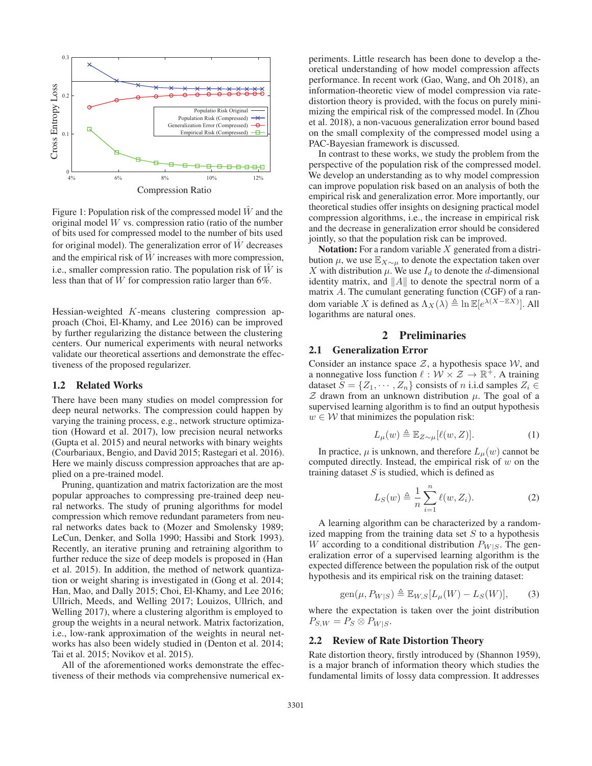

Figure 1: Population risk of the compressed model  $\hat{W}$  and the original model  $W$  vs. compression ratio (ratio of the number of bits used for compressed model to the number of bits used for original model). The generalization error of  $\hat{W}$  decreases and the empirical risk of  $\hat{W}$  increases with more compression, i.e., smaller compression ratio. The population risk of  $\hat{W}$  is less than that of W for compression ratio larger than 6%.

Hessian-weighted K-means clustering compression approach (Choi, El-Khamy, and Lee 2016) can be improved by further regularizing the distance between the clustering centers. Our numerical experiments with neural networks validate our theoretical assertions and demonstrate the effectiveness of the proposed regularizer.

## 1.2 Related Works

There have been many studies on model compression for deep neural networks. The compression could happen by varying the training process, e.g., network structure optimization (Howard et al. 2017), low precision neural networks (Gupta et al. 2015) and neural networks with binary weights (Courbariaux, Bengio, and David 2015; Rastegari et al. 2016). Here we mainly discuss compression approaches that are applied on a pre-trained model.

Pruning, quantization and matrix factorization are the most popular approaches to compressing pre-trained deep neural networks. The study of pruning algorithms for model compression which remove redundant parameters from neural networks dates back to (Mozer and Smolensky 1989; LeCun, Denker, and Solla 1990; Hassibi and Stork 1993). Recently, an iterative pruning and retraining algorithm to further reduce the size of deep models is proposed in (Han et al. 2015). In addition, the method of network quantization or weight sharing is investigated in (Gong et al. 2014; Han, Mao, and Dally 2015; Choi, El-Khamy, and Lee 2016; Ullrich, Meeds, and Welling 2017; Louizos, Ullrich, and Welling 2017), where a clustering algorithm is employed to group the weights in a neural network. Matrix factorization, i.e., low-rank approximation of the weights in neural networks has also been widely studied in (Denton et al. 2014; Tai et al. 2015; Novikov et al. 2015).

All of the aforementioned works demonstrate the effectiveness of their methods via comprehensive numerical experiments. Little research has been done to develop a theoretical understanding of how model compression affects performance. In recent work (Gao, Wang, and Oh 2018), an information-theoretic view of model compression via ratedistortion theory is provided, with the focus on purely minimizing the empirical risk of the compressed model. In (Zhou et al. 2018), a non-vacuous generalization error bound based on the small complexity of the compressed model using a PAC-Bayesian framework is discussed.

In contrast to these works, we study the problem from the perspective of the population risk of the compressed model. We develop an understanding as to why model compression can improve population risk based on an analysis of both the empirical risk and generalization error. More importantly, our theoretical studies offer insights on designing practical model compression algorithms, i.e., the increase in empirical risk and the decrease in generalization error should be considered jointly, so that the population risk can be improved.

**Notation:** For a random variable  $X$  generated from a distribution  $\mu$ , we use  $\mathbb{E}_{X\sim\mu}$  to denote the expectation taken over X with distribution  $\mu$ . We use  $I_d$  to denote the d-dimensional identity matrix, and  $||A||$  to denote the spectral norm of a matrix A. The cumulant generating function (CGF) of a random variable X is defined as  $\Lambda_X(\lambda) \triangleq \ln \mathbb{E}[e^{\lambda(X - \mathbb{E}X)}]$ . All logarithms are natural ones logarithms are natural ones.

## 2 Preliminaries

## 2.1 Generalization Error

Consider an instance space  $Z$ , a hypothesis space  $W$ , and a nonnegative loss function  $\ell : \mathcal{W} \times \mathcal{Z} \to \mathbb{R}^+$ . A training dataset  $S = \{Z_1, \dots, Z_n\}$  consists of n i.i.d samples  $Z_i \in$  $Z$  drawn from an unknown distribution  $\mu$ . The goal of a supervised learning algorithm is to find an output hypothesis  $w \in \mathcal{W}$  that minimizes the population risk:

$$
L_{\mu}(w) \triangleq \mathbb{E}_{Z \sim \mu}[\ell(w, Z)]. \tag{1}
$$

In practice,  $\mu$  is unknown, and therefore  $L_{\mu}(w)$  cannot be computed directly. Instead, the empirical risk of  $w$  on the training dataset  $S$  is studied, which is defined as

$$
L_S(w) \triangleq \frac{1}{n} \sum_{i=1}^n \ell(w, Z_i).
$$
 (2)

A learning algorithm can be characterized by a randomized mapping from the training data set  $S$  to a hypothesis W according to a conditional distribution  $P_{W|S}$ . The generalization error of a supervised learning algorithm is the expected difference between the population risk of the output hypothesis and its empirical risk on the training dataset:

$$
\text{gen}(\mu, P_{W|S}) \triangleq \mathbb{E}_{W,S}[L_{\mu}(W) - L_{S}(W)],\qquad(3)
$$

where the expectation is taken over the joint distribution  $P_{S,W} = P_S \otimes P_{W|S}.$ 

#### 2.2 Review of Rate Distortion Theory

Rate distortion theory, firstly introduced by (Shannon 1959), is a major branch of information theory which studies the fundamental limits of lossy data compression. It addresses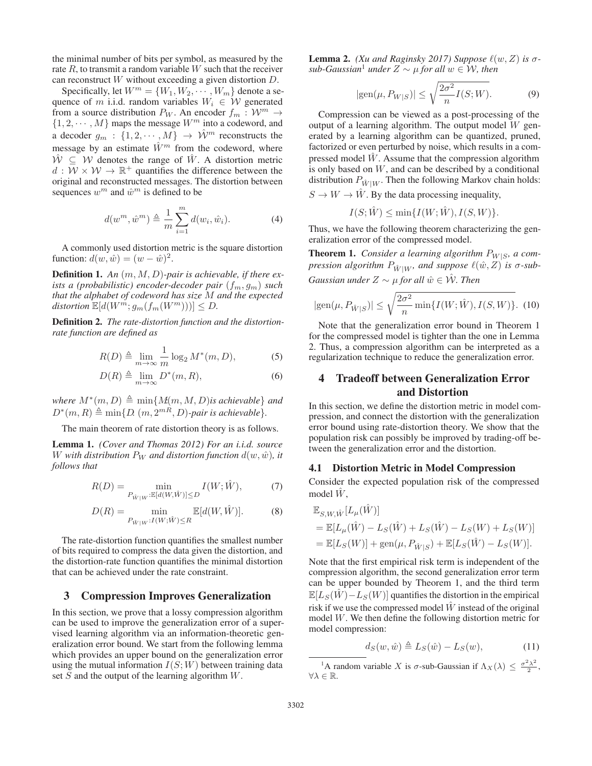the minimal number of bits per symbol, as measured by the rate  $R$ , to transmit a random variable  $W$  such that the receiver can reconstruct  $W$  without exceeding a given distortion  $D$ .

Specifically, let  $W^m = \{W_1, W_2, \cdots, W_m\}$  denote a sequence of m i.i.d. random variables  $W_i \in W$  generated from a source distribution  $P_W$ . An encoder  $f_m : W^m \to$  $\{1, 2, \dots, M\}$  maps the message  $W^m$  into a codeword, and a decoder  $g_m : \{1, 2, \dots, M\} \rightarrow \hat{W}^m$  reconstructs the message by an estimate  $\hat{W}^m$  from the codeword, where  $\hat{W} \subseteq W$  denotes the range of  $\hat{W}$ . A distortion metric  $d: W \times W \rightarrow \mathbb{R}^+$  quantifies the difference between the original and reconstructed messages. The distortion between sequences  $w^m$  and  $\hat{w}^m$  is defined to be

$$
d(w^m, \hat{w}^m) \triangleq \frac{1}{m} \sum_{i=1}^m d(w_i, \hat{w}_i).
$$
 (4)

A commonly used distortion metric is the square distortion function:  $d(w, \hat{w})=(w - \hat{w})^2$ .

Definition 1. *An* (m, M, D)*-pair is achievable, if there exists a (probabilistic) encoder-decoder pair*  $(f_m, g_m)$  *such that the alphabet of codeword has size* M *and the expected*  $distortion \mathbb{E}[d(W^m; g_m(f_m(W^m)))] \leq D.$ 

Definition 2. *The rate-distortion function and the distortionrate function are defined as*

$$
R(D) \triangleq \lim_{m \to \infty} \frac{1}{m} \log_2 M^*(m, D), \tag{5}
$$

$$
D(R) \triangleq \lim_{m \to \infty} D^*(m, R), \tag{6}
$$

*where*  $M^*(m, D) \triangleq \min\{M(m, M, D)$ *is achievable*  $\}$  *and*  $D^*(m, D) \triangleq \min\{D(m, 2^m, D)$  pair is achievable.  $D^*(m, R) \triangleq \min\{D(m, 2^{mR}, D)$ *-pair is achievable*}.

The main theorem of rate distortion theory is as follows.

Lemma 1. *(Cover and Thomas 2012) For an i.i.d. source* W with distribution  $P_W$  and distortion function  $d(w, \hat{w})$ , it *follows that*

$$
R(D) = \min_{P_{\hat{W}|W}:\mathbb{E}[d(W,\hat{W})] \le D} I(W;\hat{W}),\tag{7}
$$

$$
D(R) = \min_{P_{\hat{W}|W}:I(W;\hat{W}) \le R} \mathbb{E}[d(W,\hat{W})].
$$
 (8)

The rate-distortion function quantifies the smallest number of bits required to compress the data given the distortion, and the distortion-rate function quantifies the minimal distortion that can be achieved under the rate constraint.

## 3 Compression Improves Generalization

In this section, we prove that a lossy compression algorithm can be used to improve the generalization error of a supervised learning algorithm via an information-theoretic generalization error bound. We start from the following lemma which provides an upper bound on the generalization error using the mutual information  $I(S;W)$  between training data set  $S$  and the output of the learning algorithm  $W$ .

Lemma 2. *(Xu and Raginsky 2017) Suppose*  $\ell(w, Z)$  *is*  $\sigma$ *sub-Gaussian<sup>1</sup> under*  $Z \sim \mu$  *for all*  $w \in W$ *, then* 

$$
|\text{gen}(\mu, P_{W|S})| \le \sqrt{\frac{2\sigma^2}{n} I(S;W)}.
$$
 (9)

Compression can be viewed as a post-processing of the output of a learning algorithm. The output model  $W$  generated by a learning algorithm can be quantized, pruned, factorized or even perturbed by noise, which results in a compressed model  $\hat{W}$ . Assume that the compression algorithm is only based on W, and can be described by a conditional distribution  $P_{\hat{W}|W}$ . Then the following Markov chain holds:  $S \to W \to \hat{W}$ . By the data processing inequality,

 $I(S; \hat{W}) \leq \min\{I(W; \hat{W}), I(S, W)\}.$ 

Thus, we have the following theorem characterizing the generalization error of the compressed model.

**Theorem 1.** *Consider a learning algorithm*  $P_{W|S}$ *, a compression algorithm*  $P_{\hat{W}|W}$ *, and suppose*  $\ell(\hat{w}, Z)$  *is*  $\sigma$ *-sub-Gaussian under*  $Z \sim \mu$  *for all*  $\hat{w} \in \hat{\mathcal{W}}$ *. Then* 

$$
|\text{gen}(\mu, P_{\hat{W}|S})| \le \sqrt{\frac{2\sigma^2}{n} \min\{I(W; \hat{W}), I(S, W)\}}.
$$
 (10)

Note that the generalization error bound in Theorem 1 for the compressed model is tighter than the one in Lemma 2. Thus, a compression algorithm can be interpreted as a regularization technique to reduce the generalization error.

## 4 Tradeoff between Generalization Error and Distortion

In this section, we define the distortion metric in model compression, and connect the distortion with the generalization error bound using rate-distortion theory. We show that the population risk can possibly be improved by trading-off between the generalization error and the distortion.

#### 4.1 Distortion Metric in Model Compression

Consider the expected population risk of the compressed model  $\hat{W}$ ,

$$
\mathbb{E}_{S,W,\hat{W}}[L_{\mu}(\hat{W})]
$$
  
=  $\mathbb{E}[L_{\mu}(\hat{W}) - L_{S}(\hat{W}) + L_{S}(\hat{W}) - L_{S}(W) + L_{S}(W)]$   
=  $\mathbb{E}[L_{S}(W)] + \text{gen}(\mu, P_{\hat{W}|S}) + \mathbb{E}[L_{S}(\hat{W}) - L_{S}(W)].$ 

Note that the first empirical risk term is independent of the compression algorithm, the second generalization error term can be upper bounded by Theorem 1, and the third term  $\mathbb{E}[L_S(\hat{W})-L_S(W)]$  quantifies the distortion in the empirical risk if we use the compressed model  $\tilde{W}$  instead of the original model W. We then define the following distortion metric for model compression:

$$
d_S(w, \hat{w}) \triangleq L_S(\hat{w}) - L_S(w), \tag{11}
$$

<sup>&</sup>lt;sup>1</sup>A random variable X is  $\sigma$ -sub-Gaussian if  $\Lambda_X(\lambda) \leq \frac{\sigma^2 \lambda^2}{2}$ ,  $\forall \lambda \in \mathbb{R}$ .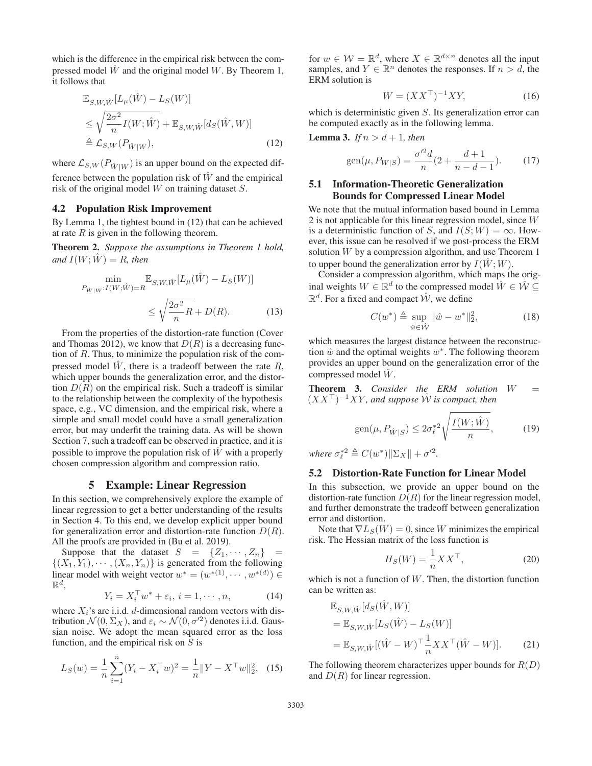which is the difference in the empirical risk between the compressed model  $\hat{W}$  and the original model W. By Theorem 1, it follows that

$$
\mathbb{E}_{S,W,\hat{W}}[L_{\mu}(\hat{W}) - L_{S}(W)]
$$
\n
$$
\leq \sqrt{\frac{2\sigma^2}{n}} I(W; \hat{W}) + \mathbb{E}_{S,W,\hat{W}}[d_{S}(\hat{W}, W)]
$$
\n
$$
\triangleq \mathcal{L}_{S,W}(P_{\hat{W}|W}),
$$
\n(12)

where  $\mathcal{L}_{S,W}(P_{\hat{W}|W})$  is an upper bound on the expected difference between the population risk of  $\hat{W}$  and the empirical risk of the original model W on training dataset S.

#### 4.2 Population Risk Improvement

By Lemma 1, the tightest bound in (12) that can be achieved at rate  $R$  is given in the following theorem.

Theorem 2. *Suppose the assumptions in Theorem 1 hold, and*  $I(W; \hat{W}) = R$ *, then* 

$$
\min_{P_{\hat{W}|W}:I(W;\hat{W})=R} \mathbb{E}_{S,W,\hat{W}}[L_{\mu}(\hat{W}) - L_{S}(W)]
$$
  

$$
\leq \sqrt{\frac{2\sigma^2}{n}R} + D(R). \tag{13}
$$

From the properties of the distortion-rate function (Cover and Thomas 2012), we know that  $D(R)$  is a decreasing function of R. Thus, to minimize the population risk of the compressed model  $\hat{W}$ , there is a tradeoff between the rate  $R$ , which upper bounds the generalization error, and the distortion  $D(R)$  on the empirical risk. Such a tradeoff is similar to the relationship between the complexity of the hypothesis space, e.g., VC dimension, and the empirical risk, where a simple and small model could have a small generalization error, but may underfit the training data. As will be shown Section 7, such a tradeoff can be observed in practice, and it is possible to improve the population risk of  $\hat{W}$  with a properly chosen compression algorithm and compression ratio.

#### 5 Example: Linear Regression

In this section, we comprehensively explore the example of linear regression to get a better understanding of the results in Section 4. To this end, we develop explicit upper bound for generalization error and distortion-rate function  $D(R)$ . All the proofs are provided in (Bu et al. 2019).

Suppose that the dataset  $S = \{Z_1, \dots, Z_n\} =$  $\{(X_1, Y_1), \cdots, (X_n, Y_n)\}\$ is generated from the following linear model with weight vector  $w^* = (w^{*(1)}, \dots, w^{*(d)}) \in \mathbb{R}^d$  $\mathbb{R}^d$ .

$$
Y_i = X_i^{\top} w^* + \varepsilon_i, \, i = 1, \cdots, n,
$$
 (14)  
where  $X_i$ 's are i.i.d. *d*-dimensional random vectors with dis-

tribution  $\mathcal{N}(0, \Sigma_X)$ , and  $\varepsilon_i \sim \mathcal{N}(0, \sigma'^2)$  denotes i.i.d. Gaussian noise. We adopt the mean squared error as the loss function, and the empirical risk on  $S$  is

$$
L_S(w) = \frac{1}{n} \sum_{i=1}^n (Y_i - X_i^\top w)^2 = \frac{1}{n} ||Y - X^\top w||_2^2, \tag{15}
$$

for  $w \in \mathcal{W} = \mathbb{R}^d$ , where  $X \in \mathbb{R}^{d \times n}$  denotes all the input samples, and  $Y \in \mathbb{R}^n$  denotes the responses. If  $n > d$ , the ERM solution is

$$
W = (XXT)-1XY,
$$
\n(16)

which is deterministic given S. Its generalization error can be computed exactly as in the following lemma.

**Lemma 3.** *If*  $n > d + 1$ *, then* 

gen
$$
(\mu, P_{W|S}) = \frac{\sigma'^2 d}{n} (2 + \frac{d+1}{n-d-1}).
$$
 (17)

## 5.1 Information-Theoretic Generalization Bounds for Compressed Linear Model

We note that the mutual information based bound in Lemma 2 is not applicable for this linear regression model, since W is a deterministic function of S, and  $I(S;W) = \infty$ . However, this issue can be resolved if we post-process the ERM solution W by a compression algorithm, and use Theorem 1 to upper bound the generalization error by  $I(\hat{W}; W)$ .

Consider a compression algorithm, which maps the original weights  $W \in \mathbb{R}^d$  to the compressed model  $\hat{W} \in \hat{\mathcal{W}} \subseteq$  $\mathbb{R}^d$ . For a fixed and compact  $\hat{\mathcal{W}}$ , we define

$$
C(w^*) \triangleq \sup_{\hat{w} \in \hat{\mathcal{W}}} \|\hat{w} - w^*\|_2^2, \tag{18}
$$

which measures the largest distance between the reconstruction  $\hat{w}$  and the optimal weights  $w^*$ . The following theorem provides an upper bound on the generalization error of the compressed model  $\hat{W}$ .

Theorem 3. *Consider the ERM solution* <sup>W</sup> <sup>=</sup>  $(XX<sup>T</sup>)<sup>-1</sup>XY$ *, and suppose*  $\hat{W}$  *is compact, then* 

$$
\text{gen}(\mu, P_{\hat{W}|S}) \le 2\sigma_{\ell}^{*2} \sqrt{\frac{I(W; \hat{W})}{n}},\tag{19}
$$

where  $\sigma_{\ell}^{*2} \triangleq C(w^*)\|\Sigma_X\| + \sigma^{\prime 2}$ .

## 5.2 Distortion-Rate Function for Linear Model

In this subsection, we provide an upper bound on the distortion-rate function  $D(R)$  for the linear regression model, and further demonstrate the tradeoff between generalization error and distortion.

Note that  $\nabla L_S(W)=0$ , since W minimizes the empirical risk. The Hessian matrix of the loss function is

$$
H_S(W) = \frac{1}{n} X X^\top,\tag{20}
$$

which is not a function of  $W$ . Then, the distortion function can be written as:

$$
\mathbb{E}_{S,W,\hat{W}}[d_S(\hat{W}, W)]
$$
  
= 
$$
\mathbb{E}_{S,W,\hat{W}}[L_S(\hat{W}) - L_S(W)]
$$
  
= 
$$
\mathbb{E}_{S,W,\hat{W}}[(\hat{W} - W)^{\top} \frac{1}{n} XX^{\top}(\hat{W} - W)].
$$
 (21)

The following theorem characterizes upper bounds for  $R(D)$ and  $D(R)$  for linear regression.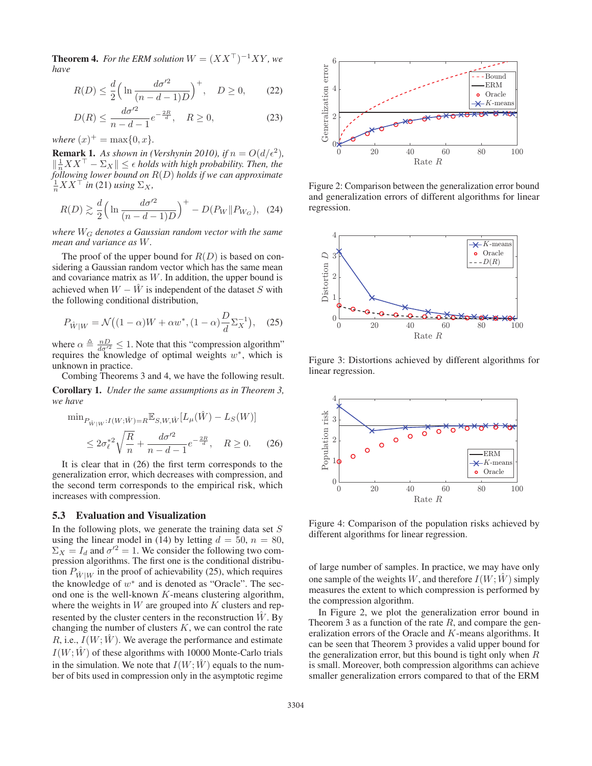**Theorem 4.** *For the ERM solution*  $W = (XX^{\top})^{-1}XY$ *, we have*

$$
R(D) \le \frac{d}{2} \Big( \ln \frac{d\sigma'^2}{(n-d-1)D} \Big)^+, \quad D \ge 0,
$$
 (22)

$$
D(R) \le \frac{d\sigma'^2}{n - d - 1} e^{-\frac{2R}{d}}, \quad R \ge 0,
$$
 (23)

*where*  $(x)^{+} = \max\{0, x\}$ .

**Remark 1.** As shown in (Vershynin 2010), if  $n = O(d/\epsilon^2)$ ,  $\|\frac{1}{n}XX^{\top} - \Sigma_X\| \leq \epsilon$  holds with high probability. Then, the<br>following lower bound on B(D) holds if we can approximate *following lower bound on* <sup>R</sup>(D) *holds if we can approximate*  $\frac{1}{n}XX^{\top}$  *in* (21) *using*  $\Sigma_X$ ,

$$
R(D) \gtrsim \frac{d}{2} \left( \ln \frac{d\sigma'^2}{(n-d-1)D} \right)^+ - D(P_W \| P_{W_G}), \quad (24)
$$

*where* W<sup>G</sup> *denotes a Gaussian random vector with the same mean and variance as* W*.*

The proof of the upper bound for  $R(D)$  is based on considering a Gaussian random vector which has the same mean and covariance matrix as  $W$ . In addition, the upper bound is achieved when  $W - \hat{W}$  is independent of the dataset S with the following conditional distribution,

$$
P_{\hat{W}|W} = \mathcal{N}\big((1-\alpha)W + \alpha w^*, (1-\alpha)\frac{D}{d}\Sigma_X^{-1}\big), \quad (25)
$$

where  $\alpha \triangleq \frac{nD}{d\sigma'^2} \leq 1$ . Note that this "compression algorithm"<br>requires the knowledge of optimal weights  $w^*$  which is requires the knowledge of optimal weights  $w^*$ , which is unknown in practice.

Combing Theorems 3 and 4, we have the following result. Corollary 1. *Under the same assumptions as in Theorem 3, we have*

$$
\min_{P_{\hat{W}|W}:I(W;\hat{W})=R} \mathbb{E}_{S,W,\hat{W}}[\hat{L}_{\mu}(\hat{W}) - L_{S}(W)]
$$
\n
$$
\leq 2\sigma_{\ell}^{*2}\sqrt{\frac{R}{n}} + \frac{d\sigma'^{2}}{n-d-1}e^{-\frac{2R}{d}}, \quad R \geq 0. \quad (26)
$$
\nIt is clear that in (26) the first term corresponds to the

generalization error, which decreases with compression, and the second term corresponds to the empirical risk, which increases with compression.

## 5.3 Evaluation and Visualization

In the following plots, we generate the training data set  $S$ using the linear model in (14) by letting  $d = 50$ ,  $n = 80$ ,  $\Sigma_X = I_d$  and  $\sigma'^2 = 1$ . We consider the following two compression algorithms. The first one is the conditional distribution  $P_{\hat{W}|W}$  in the proof of achievability (25), which requires the knowledge of  $w^*$  and is denoted as "Oracle". The second one is the well-known K-means clustering algorithm, where the weights in  $W$  are grouped into  $K$  clusters and represented by the cluster centers in the reconstruction  $\hat{W}$ . By changing the number of clusters  $K$ , we can control the rate R, i.e.,  $I(W; \overline{W})$ . We average the performance and estimate  $I(W; \hat{W})$  of these algorithms with 10000 Monte-Carlo trials in the simulation. We note that  $I(W; \hat{W})$  equals to the number of bits used in compression only in the asymptotic regime



Figure 2: Comparison between the generalization error bound and generalization errors of different algorithms for linear regression.



Figure 3: Distortions achieved by different algorithms for linear regression.



Figure 4: Comparison of the population risks achieved by different algorithms for linear regression.

of large number of samples. In practice, we may have only one sample of the weights W, and therefore  $I(W; \hat{W})$  simply measures the extent to which compression is performed by the compression algorithm.

In Figure 2, we plot the generalization error bound in Theorem 3 as a function of the rate  $R$ , and compare the generalization errors of the Oracle and K-means algorithms. It can be seen that Theorem 3 provides a valid upper bound for the generalization error, but this bound is tight only when  $R$ is small. Moreover, both compression algorithms can achieve smaller generalization errors compared to that of the ERM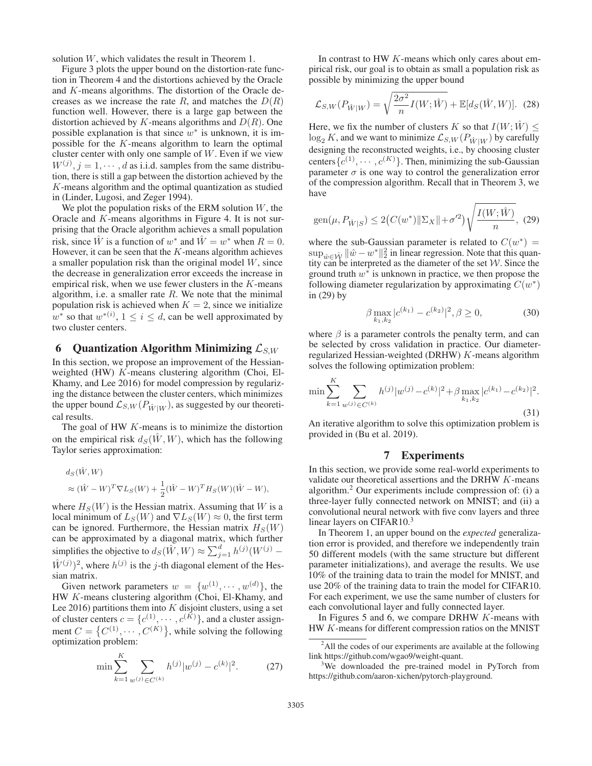solution W, which validates the result in Theorem 1.

Figure 3 plots the upper bound on the distortion-rate function in Theorem 4 and the distortions achieved by the Oracle and K-means algorithms. The distortion of the Oracle decreases as we increase the rate R, and matches the  $D(R)$ function well. However, there is a large gap between the distortion achieved by K-means algorithms and  $D(R)$ . One possible explanation is that since  $w^*$  is unknown, it is impossible for the K-means algorithm to learn the optimal cluster center with only one sample of  $W$ . Even if we view  $W^{(j)}$ ,  $j = 1, \dots, d$  as i.i.d. samples from the same distribu-<br>tion there is still a gap between the distortion achieved by the tion, there is still a gap between the distortion achieved by the K-means algorithm and the optimal quantization as studied in (Linder, Lugosi, and Zeger 1994).

We plot the population risks of the ERM solution  $W$ , the Oracle and K-means algorithms in Figure 4. It is not surprising that the Oracle algorithm achieves a small population risk, since  $\hat{W}$  is a function of  $w^*$  and  $\hat{W} = w^*$  when  $R = 0$ . However, it can be seen that the  $K$ -means algorithm achieves a smaller population risk than the original model  $W$ , since the decrease in generalization error exceeds the increase in empirical risk, when we use fewer clusters in the  $K$ -means algorithm, i.e. a smaller rate  $R$ . We note that the minimal population risk is achieved when  $K = 2$ , since we initialize  $w^*$  so that  $w^{*(i)}$ ,  $1 \le i \le d$ , can be well approximated by two cluster centers two cluster centers.

## 6 Quantization Algorithm Minimizing  $\mathcal{L}_{S,W}$

In this section, we propose an improvement of the Hessianweighted (HW) K-means clustering algorithm (Choi, El-Khamy, and Lee 2016) for model compression by regularizing the distance between the cluster centers, which minimizes the upper bound  $\mathcal{L}_{S,W}(P_{\hat{W}|W})$ , as suggested by our theoretical results.

The goal of HW K-means is to minimize the distortion on the empirical risk  $d_S(\hat{W}, W)$ , which has the following Taylor series approximation:

$$
d_S(\hat{W}, W)
$$
  
\n
$$
\approx (\hat{W} - W)^T \nabla L_S(W) + \frac{1}{2} (\hat{W} - W)^T H_S(W) (\hat{W} - W),
$$

where  $H<sub>S</sub>(W)$  is the Hessian matrix. Assuming that W is a local minimum of  $L_S(W)$  and  $\nabla L_S(W) \approx 0$ , the first term can be ignored. Furthermore, the Hessian matrix  $H<sub>S</sub>(W)$ can be approximated by a diagonal matrix, which further simplifies the objective to  $d_S(\widetilde{W}, W) \approx \sum_{j=1}^d h^{(j)}(W^{(j)} - \widetilde{W}^{(j)})^2$  $(\hat{W}^{(j)})^2$ , where  $h^{(j)}$  is the *j*-th diagonal element of the Hessian matrix.

Given network parameters  $w = \{w^{(1)}, \dots, w^{(d)}\}$ , the W K-means clustering algorithm (Choi El-Khamy and HW K-means clustering algorithm (Choi, El-Khamy, and Lee 2016) partitions them into  $K$  disjoint clusters, using a set of cluster centers  $c = \{c^{(1)}, \dots, c^{(K)}\}$ , and a cluster assignment  $C = \{C^{(1)}, \dots, C^{(K)}\}$ , while solving the following ment  $C = \{C^{(1)}, \cdots, C^{(K)}\}$ , while solving the following<br>optimization problem: optimization problem:

$$
\min \sum_{k=1}^{K} \sum_{w^{(j)} \in C^{(k)}} h^{(j)} |w^{(j)} - c^{(k)}|^2.
$$
 (27)

In contrast to HW K-means which only cares about empirical risk, our goal is to obtain as small a population risk as possible by minimizing the upper bound

$$
\mathcal{L}_{S,W}(P_{\hat{W}|W}) = \sqrt{\frac{2\sigma^2}{n}I(W; \hat{W})} + \mathbb{E}[d_S(\hat{W}, W)].
$$
 (28)

Here, we fix the number of clusters K so that  $I(W; \hat{W}) \leq$  $\log_2 K$ , and we want to minimize  $\mathcal{L}_{S,W}(P_{\hat{W}|W})$  by carefully designing the reconstructed weights, i.e., by choosing cluster centers  $\{c^{(1)}, \cdots, c^{(K)}\}$ . Then, minimizing the sub-Gaussian parameter  $\sigma$  is one way to control the generalization error of the compression algorithm. Recall that in Theorem 3, we have

$$
\text{gen}(\mu, P_{\hat{W}|S}) \le 2\big(C(w^*)\|\Sigma_X\| + \sigma'^2\big)\sqrt{\frac{I(W; \hat{W})}{n}},\tag{29}
$$

where the sub-Gaussian parameter is related to  $C(w^*)$  =  $\sup_{\hat{w}\in\hat{\mathcal{W}}} \|\hat{w}-w^*\|_2^2$  in linear regression. Note that this quantity can be interpreted as the diameter of the set W. Since the tity can be interpreted as the diameter of the set  $W$ . Since the ground truth  $w^*$  is unknown in practice, we then propose the following diameter regularization by approximating  $C(w^*)$ in (29) by

$$
\beta \max_{k_1, k_2} |c^{(k_1)} - c^{(k_2)}|^2, \beta \ge 0,
$$
\n(30)

where  $\beta$  is a parameter controls the penalty term, and can be selected by cross validation in practice. Our diameterregularized Hessian-weighted (DRHW) K-means algorithm solves the following optimization problem:

$$
\min \sum_{k=1}^{K} \sum_{w^{(j)} \in C^{(k)}} h^{(j)} |w^{(j)} - c^{(k)}|^2 + \beta \max_{k_1, k_2} |c^{(k_1)} - c^{(k_2)}|^2.
$$
\n(31)

 $\overline{V}$ 

An iterative algorithm to solve this optimization problem is provided in (Bu et al. 2019).

### 7 Experiments

In this section, we provide some real-world experiments to validate our theoretical assertions and the DRHW K-means algorithm.2 Our experiments include compression of: (i) a three-layer fully connected network on MNIST; and (ii) a convolutional neural network with five conv layers and three linear layers on CIFAR10. $3$ 

In Theorem 1, an upper bound on the *expected* generalization error is provided, and therefore we independently train 50 different models (with the same structure but different parameter initializations), and average the results. We use 10% of the training data to train the model for MNIST, and use 20% of the training data to train the model for CIFAR10. For each experiment, we use the same number of clusters for each convolutional layer and fully connected layer.

In Figures 5 and 6, we compare DRHW  $K$ -means with HW K-means for different compression ratios on the MNIST

<sup>&</sup>lt;sup>2</sup>All the codes of our experiments are available at the following link https://github.com/wgao9/weight-quant.

<sup>&</sup>lt;sup>3</sup>We downloaded the pre-trained model in PyTorch from https://github.com/aaron-xichen/pytorch-playground.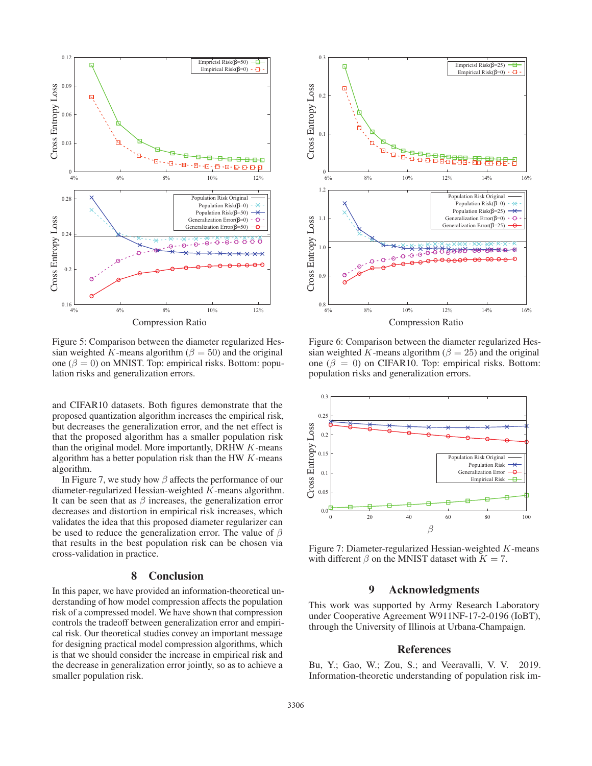

Figure 5: Comparison between the diameter regularized Hessian weighted K-means algorithm ( $\beta = 50$ ) and the original one ( $\beta = 0$ ) on MNIST. Top: empirical risks. Bottom: population risks and generalization errors.

and CIFAR10 datasets. Both figures demonstrate that the proposed quantization algorithm increases the empirical risk, but decreases the generalization error, and the net effect is that the proposed algorithm has a smaller population risk than the original model. More importantly, DRHW  $K$ -means algorithm has a better population risk than the HW  $K$ -means algorithm.

In Figure 7, we study how  $\beta$  affects the performance of our diameter-regularized Hessian-weighted K-means algorithm. It can be seen that as  $\beta$  increases, the generalization error decreases and distortion in empirical risk increases, which validates the idea that this proposed diameter regularizer can be used to reduce the generalization error. The value of  $\beta$ that results in the best population risk can be chosen via cross-validation in practice.

## 8 Conclusion

In this paper, we have provided an information-theoretical understanding of how model compression affects the population risk of a compressed model. We have shown that compression controls the tradeoff between generalization error and empirical risk. Our theoretical studies convey an important message for designing practical model compression algorithms, which is that we should consider the increase in empirical risk and the decrease in generalization error jointly, so as to achieve a smaller population risk.



Figure 6: Comparison between the diameter regularized Hessian weighted K-means algorithm ( $\beta = 25$ ) and the original one ( $\beta = 0$ ) on CIFAR10. Top: empirical risks. Bottom: population risks and generalization errors.



Figure 7: Diameter-regularized Hessian-weighted K-means with different  $\beta$  on the MNIST dataset with  $K = 7$ .

## 9 Acknowledgments

This work was supported by Army Research Laboratory under Cooperative Agreement W911NF-17-2-0196 (IoBT), through the University of Illinois at Urbana-Champaign.

#### References

Bu, Y.; Gao, W.; Zou, S.; and Veeravalli, V. V. 2019. Information-theoretic understanding of population risk im